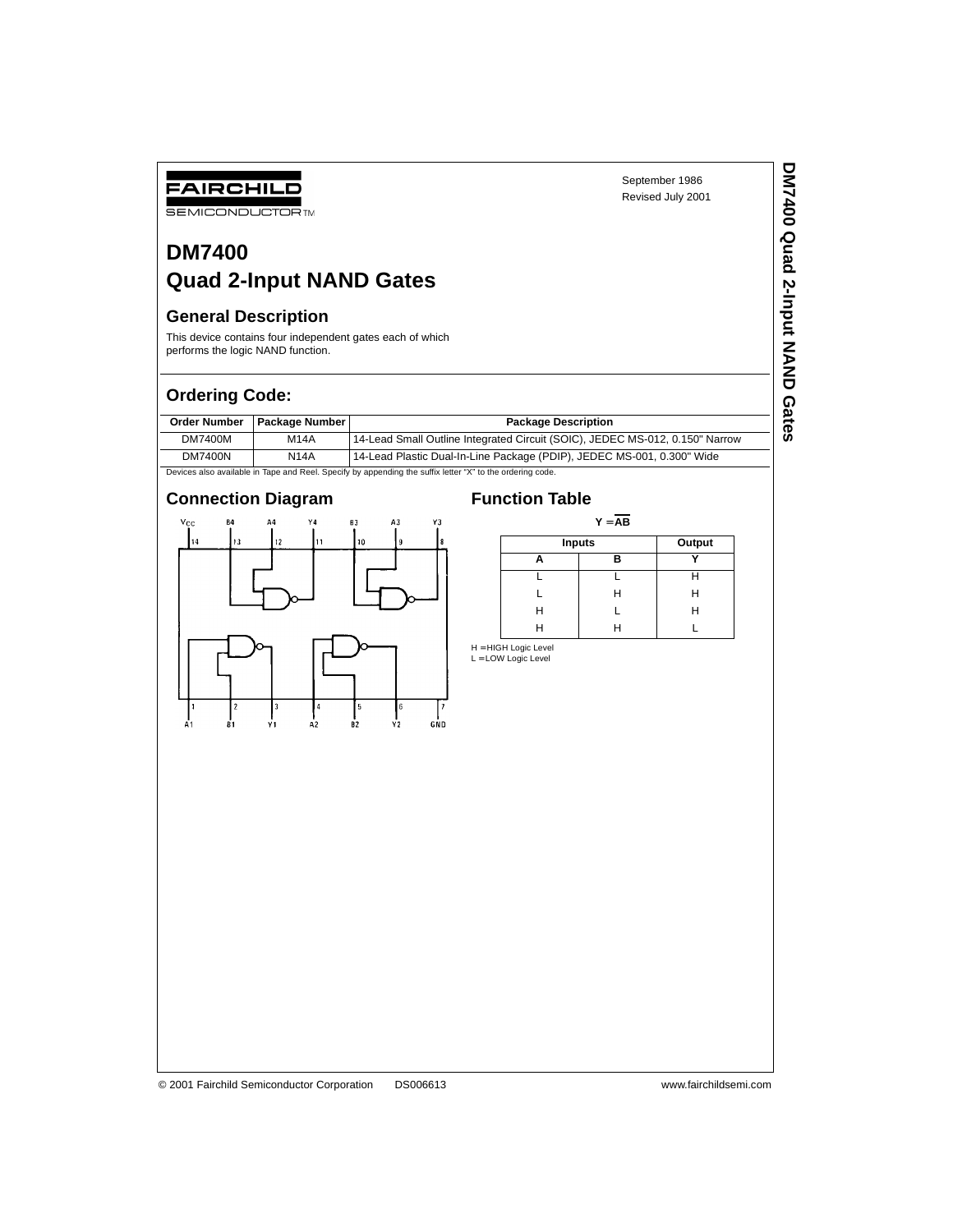**DM7400 Quad 2-Input NAND Gates**

DM7400 Quad 2-Input NAND Gates

# **DM7400 Quad 2-Input NAND Gates**

# **General Description**

FAIRCHILD **SEMICONDUCTOR TM** 

This device contains four independent gates each of which performs the logic NAND function.

# **Ordering Code:**

|         | Order Number   Package Number | <b>Package Description</b>                                                   |
|---------|-------------------------------|------------------------------------------------------------------------------|
| DM7400M | <b>M14A</b>                   | 14-Lead Small Outline Integrated Circuit (SOIC), JEDEC MS-012, 0.150" Narrow |
| DM7400N | <b>N14A</b>                   | 14-Lead Plastic Dual-In-Line Package (PDIP), JEDEC MS-001, 0.300" Wide       |

Devices also available in Tape and Reel. Specify by appending the suffix letter "X" to the ordering code.

# **Connection Diagram Function Table**



| $Y = AB$ |               |   |  |  |  |
|----------|---------------|---|--|--|--|
|          | <b>Inputs</b> |   |  |  |  |
|          | R             |   |  |  |  |
|          |               |   |  |  |  |
|          | н             | Н |  |  |  |
| Н        |               | н |  |  |  |
| н        | н             |   |  |  |  |

H = HIGH Logic Level<br>L = LOW Logic Level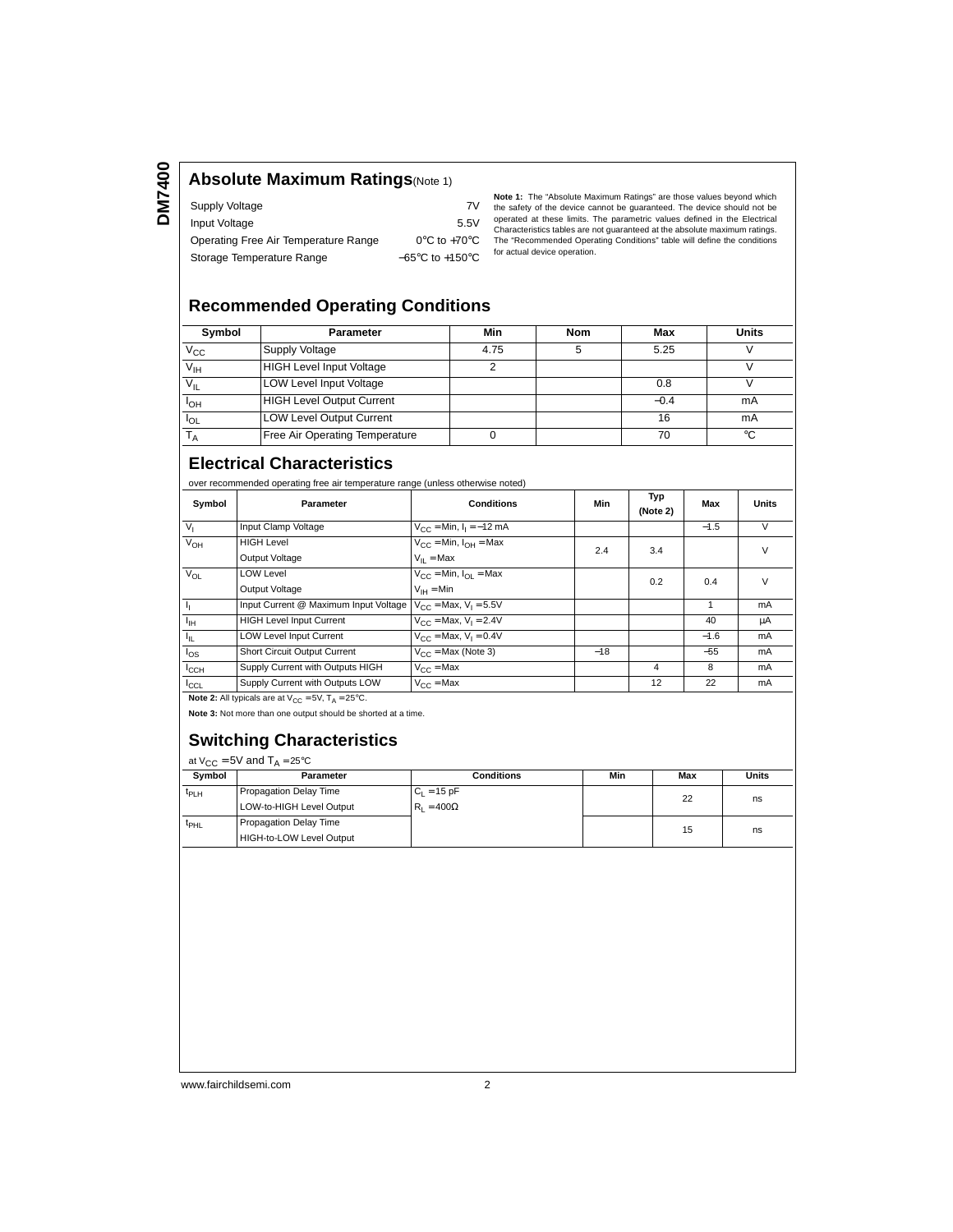**DM7400**

## **Absolute Maximum Ratings**(Note 1)

| Supply Voltage                       | 7V                                  |
|--------------------------------------|-------------------------------------|
| Input Voltage                        | 5.5V                                |
| Operating Free Air Temperature Range | $0^{\circ}$ C to +70 $^{\circ}$ C   |
| Storage Temperature Range            | $-65^{\circ}$ C to $+150^{\circ}$ C |

**Note 1:** The "Absolute Maximum Ratings" are those values beyond which the safety of the device cannot be guaranteed. The device should not be operated at these limits. The parametric values defined in the Electrical Characteristics tables are not guaranteed at the absolute maximum ratings. The "Recommended Operating Conditions" table will define the conditions for actual device operation.

### **Recommended Operating Conditions**

| Symbol                | <b>Parameter</b>                 | Min  | Nom | Max    | <b>Units</b> |
|-----------------------|----------------------------------|------|-----|--------|--------------|
| $V_{\rm CC}$          | <b>Supply Voltage</b>            | 4.75 |     | 5.25   |              |
| $V_{\text{IH}}$       | <b>HIGH Level Input Voltage</b>  | ◠    |     |        |              |
| $V_{IL}$              | <b>LOW Level Input Voltage</b>   |      |     | 0.8    |              |
| <b>I<sub>OH</sub></b> | <b>HIGH Level Output Current</b> |      |     | $-0.4$ | mA           |
| l <sub>OL</sub>       | <b>LOW Level Output Current</b>  |      |     | 16     | mA           |
|                       | Free Air Operating Temperature   |      |     | 70     | °C           |

### **Electrical Characteristics**

over recommended operating free air temperature range (unless otherwise noted)

| Symbol                                                                   | <b>Parameter</b>                      | <b>Conditions</b>                            | Min   | Typ<br>(Note 2) | Max    | <b>Units</b> |
|--------------------------------------------------------------------------|---------------------------------------|----------------------------------------------|-------|-----------------|--------|--------------|
| V <sub>1</sub>                                                           | Input Clamp Voltage                   | $V_{CC} = Min, I_1 = -12 mA$                 |       |                 | $-1.5$ | V            |
| $V_{OH}$                                                                 | <b>HIGH Level</b>                     | $V_{\text{CC}}$ = Min, $I_{\text{OH}}$ = Max | 2.4   | 3.4             |        | V            |
|                                                                          | Output Voltage                        | $V_{II}$ = Max                               |       |                 |        |              |
| <b>V<sub>OL</sub></b>                                                    | <b>LOW Level</b>                      | $V_{CC}$ = Min, $I_{OL}$ = Max               |       | 0.2             | 0.4    | V            |
|                                                                          | Output Voltage                        | $V_{IH} = Min$                               |       |                 |        |              |
| Ъ.                                                                       | Input Current @ Maximum Input Voltage | $V_{CC}$ = Max, $V_1$ = 5.5V                 |       |                 |        | mA           |
| $I_{\text{IH}}$                                                          | <b>HIGH Level Input Current</b>       | $V_{CC}$ = Max, $V_1$ = 2.4V                 |       |                 | 40     | μA           |
| $I_{\rm IL}$                                                             | <b>LOW Level Input Current</b>        | $V_{CC}$ = Max, $V_1$ = 0.4V                 |       |                 | $-1.6$ | mA           |
| $I_{OS}$                                                                 | Short Circuit Output Current          | $V_{CC}$ = Max (Note 3)                      | $-18$ |                 | $-55$  | mA           |
| $I_{\rm CCH}$                                                            | Supply Current with Outputs HIGH      | $V_{C}C = Max$                               |       | 4               | 8      | mA           |
| $I_{CCL}$                                                                | Supply Current with Outputs LOW       | $V_{CC}$ = Max                               |       | 12              | 22     | mA           |
| <b>Note 2:</b> All typicals are at $V_{CC} = 5V$ , $T_A = 25^{\circ}C$ . |                                       |                                              |       |                 |        |              |

**Note 3:** Not more than one output should be shorted at a time.

### **Switching Characteristics**

| at $V_{CC}$ = 5V and $T_A$ = 25°C |                          |                   |     |     |       |  |
|-----------------------------------|--------------------------|-------------------|-----|-----|-------|--|
| Symbol                            | Parameter                | <b>Conditions</b> | Min | Max | Units |  |
| t <sub>PLH</sub>                  | Propagation Delay Time   | $C_L = 15$ pF     |     | 22  | ns    |  |
|                                   | LOW-to-HIGH Level Output | $R_1 = 400\Omega$ |     |     |       |  |
| $t_{\text{PHL}}$                  | Propagation Delay Time   |                   |     | 15  |       |  |
|                                   | HIGH-to-LOW Level Output |                   |     |     | ns    |  |
|                                   |                          |                   |     |     |       |  |

www.fairchildsemi.com 2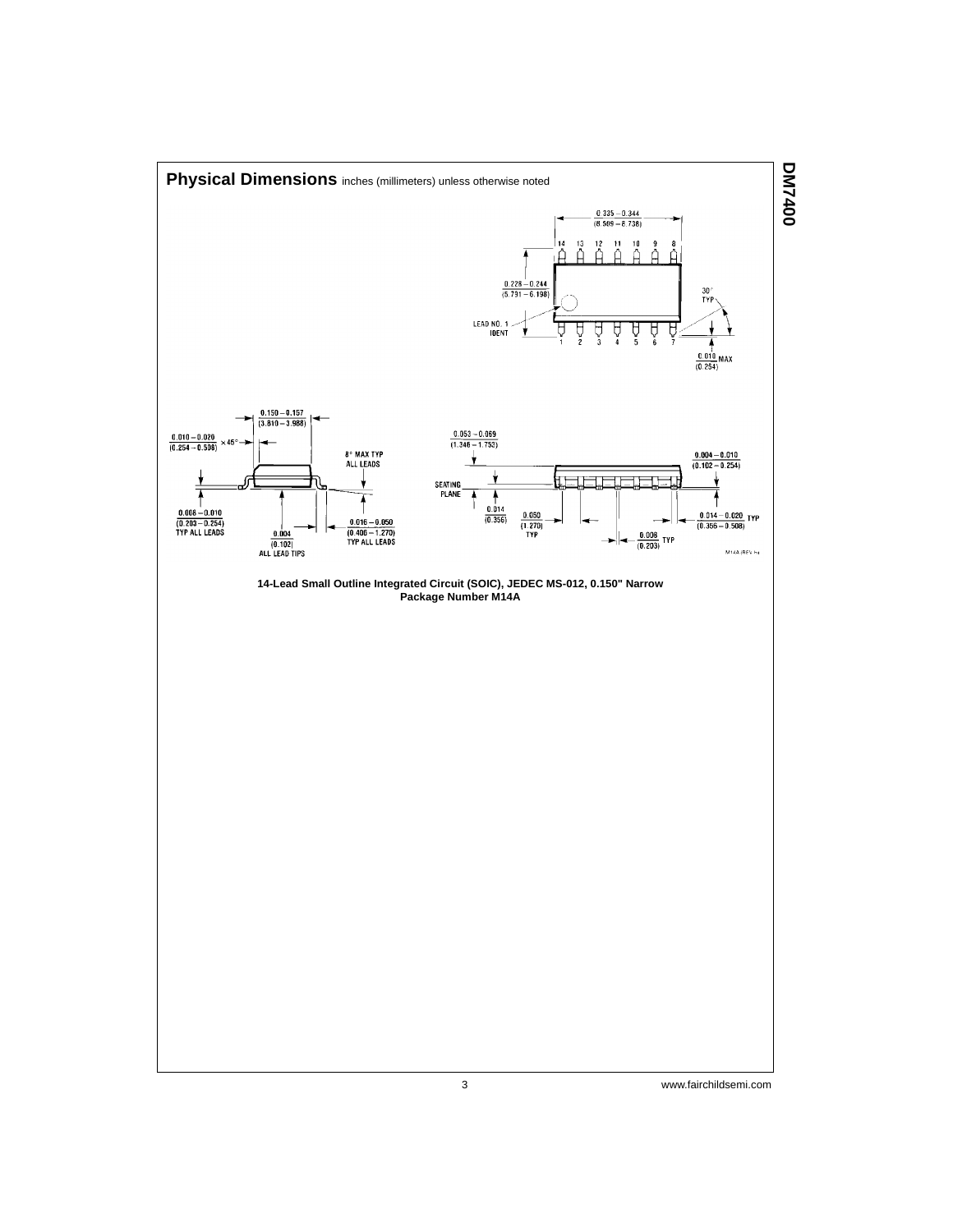

3 www.fairchildsemi.com